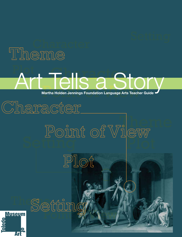# Theme

# **Fhilande** Plot **Art Tells and Story of Article and Story Arts Stracher Guide**

Point of View

# Theme Setting Setting

Plot



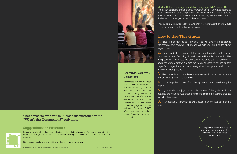This project was funded by the generous support of the Martha Holden Jennings Foundation.

Martha Holden Jennings Foundation Language Arts Teacher Guide The literary concepts of plot, theme, character, point of view, and setting as shown in works of art are explored in this guide. The activities suggested may be used prior to your visit to enhance learning that will take place at the Museum or after you return to the classroom.

1. Read the section called Arty-fact. This will give you background information about each work of art, and will help you introduce the object to your class.

This guide is written for teachers who may not have taught art but would like to incorporate art into their classrooms.

### How to Use This Guide

 $2.$  Show students the image of the work of art included in this guide. Introduce the work of art using information learned in the Arty-fact section. Use the questions in the What's the Connection section to begin a conversation about the work of art that explores the literary concept introduced on that page. Encourage students to look closely at each image, and remind them there is no wrong answer.

3. Use the activities in the Lesson Starters section to further enhance student learning in art and literature.

 $\overline{4}$ . Utilize the pull out poster. Each literary concept is explored using this image.

5. If your students enjoyed a particular section of the guide, additional activities are included. Use these activities to extend the learning that has already taken place.



### Resource Center for **Educators**

### These inserts are for use in class discussions for the students' learning experiences "What's the Connection?" activities.

6. Four additional literary areas are discussed on the last page of this guide.

Teacher resources from the Toledo Museum of Art are available online at toledomuseum.org. Visit our Resource Center for Educators located on the ground floor of the Museum. The RCE provides educational materials that integrate art into math, social studies, language arts, history, and more. The Museum's RCE offers great ways to enliven

### Suggestions for Educators



Images of works of art from the collection of the Toledo Museum of Art can be viewed online at toledomuseum.org/collection/selections. Consider showing these works of art on a smart board in your classroom.

Sign up your class for a tour by visiting toledomuseum.org/learn/tours.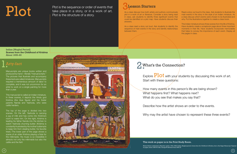

**3. Plot** is the sequence or order of events that<br>take place in a story, or in a work of art.<br>Plot is the structure of a story take place in a story, or in a work of art. Plot is the structure of a story.

Indian [Mughal Period] **Scenes from the Childhood of Krishna** About 1655–60

# . Arty-fact

How many events in this person's life are being shown? What happens first? What happens next? What do you see that makes you say that?

Describe how the artist shows an order to the events.

Why may the artist have chosen to represent these three events?

Manuscripts are unique books written and produced by hand—literally "manual scripts." The pictures that illustrate and accompany these texts are called miniatures. Manuscripts required a tremendous amount of labor to complete, and it was not uncommon for an artist to work on a single painting for more than a year.

Read a story out loud to the class. Ask students to illustrate the main events in the story in the style of an Indian miniature. As a class discuss which events were chosen to be illustrated and why. Put the illustrations together to create a class book.

This manuscript is called an Indian miniature. In three scenes, it depicts the Hindu god Krishna (the blue figure) and his foster parents Nanda and Yashoda, who were cattle herders.

The top of the page is divided into two scenes. On the left, Yashoda is carrying a jug of milk and has come into Krishna's room to wake him. On the right, Krishna is leading his father Nanda into the kitchen to watch Yashoda churning butter. (Krishna is constantly frustrated by his mother's attempts to keep him from stealing butter, his favorite treat.) The lower part of the page shows a scene of an older Krishna playing a flute for the milkmaids. His music is so irresistible it attracts not only the milkmaids but also the cattle and the fish!



This Indian miniature shows three scenes from the life of Krishna. Have students create a scrapbook page about three important moments in their life. Have students incorporate memorabilia that helps to convey the importance of each event. Display all the pages in class.

### 2 What's the Connection?

Explore  $Plot$  with your students by discussing this work of art. Start with these questions:

As a class discuss how both artists and authors communicate plot in a work of art or literature. Consider a story being read in class, ask students to identify three significant events that could be identified on a plot map. Have students discuss their answers.

As a class read a story out loud. Ask students to identify the sequence of main events in the story and identify relationships between them.

#### This work on paper is in the Print Study Room.

Mewar School, attributed to Manohar (active, 1640–1660) Indian, Mughal period. *Scenes from the Childhood of Krishna, from a* Sur Sagar *Manuscript*. Pigment on paper, about 1655–60. Mrs. George W. Stevens Fund, 2002.33

 $(5)$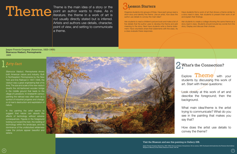Theme is the main idea of a story or the<br>point an author wants to make. As in<br>Interature, the theme in a work of art is<br>not usually directly stated but is inferred point an author wants to make. As in literature, the theme in a work of art is not usually directly stated but is inferred. Artists and authors use details, character, point of view, and setting to communicate a theme.



Organize students into groups of three. Have each group read a short story and identity the theme. Like an artist, how does the author use details to convey the main idea?

> Ask students to create a collage showing the same theme as a story read in class. Students should include key words from the story. Display and discuss their choices.

## 2 What's the Connection?

Explore **Theme** with your students by discussing this work of art. Start with these questions:

Ask students to read a children's picture book and make a list of five details that the author uses to develop the theme and add meaning to the story. Next have students write a theme statement. Have volunteers share their statements with the class. As a class evaluate these responses.

> Look closely at this work of art and describe the foreground; then the background.

Have students find a work of art that shows a theme similar to a story read in class. Ask students to present their work of art and explain their findings.

What main idea/theme is the artist trying to communicate? What do you see in the painting that makes you say that?

How does the artist use details to convey the theme?

 $\overline{7}$ 

Starrucca Viaduct, Pennsylvania shows both American nature and industry. Built in Northeastern Pennsylvania by the New York and Erie Railroad in 1847–1848, the viaduct was a great engineering feat of its time. The size and scale of the new viaduct dwarfs the old-fashioned wooden bridge in the middle ground that leads to the village of Lanesboro. In nineteenth-century painting the railroad was often seen as a symbol of industrial progress and change, or of man's destruction and exploitation of nature.

In this painting the artist seems to suggest that nature can absorb the effects of technology without adverse consequences. Figures in the foreground looking out toward the train, the nestling of technology within the landscape, and the dominance of the undisturbed wilderness make the picture appear beautiful and serene.



### Visit the Museum and see this painting in Gallery 29B.

Jasper Francis Cropsey (American, 1823–1900) *Starrucca Viaduct, Pennsylvania*. Oil on canvas, 1865. Purchased with funds from the Florence Scott Libbey Bequest in Memory of her Father, Maurice A. Scott, 1947.58

Jasper Francis Cropsey (American, 1823–1900) **Starrucca Viaduct, Pennsylvania** 1865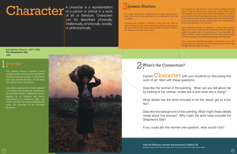Jules Breton (French, 1827–1906) **The Shepherd's Star** 1887

# **CLOCCC** of a person or animal in a work<br>
of art or literature. Characters As a class discuss the background<br>
of art or literature. Characters As a class, find a similar important event, I

A character is a representation of a person or animal in a work of art or literature. Characters can be described physically, intellectually, emotionally, socially, or philosophically.



As a class discuss the background of a story being read in class, find a similar important event, like a Shepherd's Star, that is evident.

> Explore  **with your students by discussing this** work of art. Start with these questions:

> Describe the woman in the painting. What can you tell about her by looking at her clothes, where she is and what she is doing?

In groups ask students to discuss a story that was read for class. Brainstorm a list of ten words that describe a character in the story. Which three words best describe the person? Report the findings to the rest of the class.

What details has the artist included to let the viewer get to know

her?

Describe the background of this painting. What might these details reveal about this woman? Why might the artist have included the Shepherd's Star?

If you could ask this woman one question, what would it be?

This painting shows a barefoot young peasant woman returning from the fields in the early evening as Capella, or "shepherd's star" rises over her shoulder. On her head she carries a sack of potatoes.

Jules Breton painted this French peasant in a manner that avoids any commentary on her social position. Instead the woman appears as an idealized and heroic embodiment of a traditional, idyllic way of life—one that was rapidly disappearing under the pressures of the Industrial Revolution.





Ask students to describe the most important details the artist uses to help the viewer get to know this woman. What would the character say if she could speak? Ask students to create a short story that tells the background story of the woman shown in this painting. Have students explain where she was before this picture was painted, the day before and so on. Invite students to include illustrations with their text.

Have students describe a character in a story being read in class or at home. Ask who the character's friends might be, where the person lives, or a typical day in the character's life. Have students create a drawing that shows this person based on these questions and share the drawings with the class.

How would the Industrial Revolution impact the work of the woman shown in this painting? Tell a story of how her life might change with the onset of industry.

## 2 What's the Connection?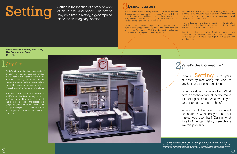Emily Brock (American, born 1946) **The Counterman Diner** 1991–92

Setting is the location of a story or work<br>of art in time and space. The setting<br>may be a time in history, a geographical<br>three stories or novels and briefly des Setting is the location of a story or work of art in time and space. The setting may be a time in history, a geographical place, or an imaginary location.



Just as artists create a setting for their work of art, authors choose words to create a setting for a story. Ask students to list three stories or novels and briefly describe the settings in each. Next, have students select a passage from each book that illustrates the text and share them with the class.

Ask students to identify the sequence of settings in a book or story, in order of appearance. How does the author make the settings vivid for the reader? What words does the author use to convey the look and feel of the surroundings?

> Explore **Setting** with your students by discussing this work of art. Start with these questions:

Ask students to imagine themselves in this setting. Invite students to create a story about this place or compare this setting to that in a story being read in class. What similar techniques do artist and artists use to create setting?

Have students create a diorama based on a favorite place near their home. Ask them to write a story about the place and present these works of art to the class.

Using found objects or a variety of materials, have students create a life-sized menu item that might be served at the diner. Have a conversation about what might be served and who would order it.

## 2 What's the Connection?

Look closely at this work of art. What details has the artist included to make this setting look real? What would you see, hear, taste, or smell here?

Where might this type of restaurant be located? What do you see that makes you see that? During what time in American history were diners like this popular?

 $\bigodot$ 

Emily Brock is an artist who creates works of art from vividly-colored fused and slumped glass. Brock is famous for creating rooms in various settings, both in and outside, making the viewer feel they are actually in them. Her recent works include molded glass characters or people in the settings.

This artist has recreated in minute detail a 1930's era diner from her neighborhood in Albuquerque, New Mexico. Although the diner seems empty the presence of people is conveyed through details like an open newspaper, dropped napkin, an empty glass with a straw, four pies and one cake.



Visit the Museum and see this sculpture in the Glass Pavilion.

Emily Brock (American, born 1946) *The Counterman Diner*. Glass, fused, slumped, lampworked; metal, 1991–92. Purchased with funds given in memory of Judie Chatreau by friends and co-workers at Society Bank & Trust and with funds from the Libbey Endowment, Gift of Edward Drummond Libbey, 1992.2 ©1992 Emily Brock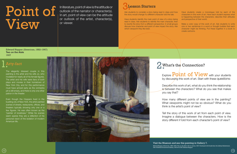# **BESSON Starters**<br> **1** In art, point of view can be the attitude<br>
In art, point of view can be the attitude<br> **1** In art, point of view can be the attitude View

Edward Hopper (American, 1882–1967) **Two on the Aisle** 1927

In literature, point of view is the attitude or outlook of the narrator or character(s). In art, point of view can be the attitude or outlook of the artist, character(s), or viewer.



Have students identify the main point of view of a story being read in class. Ask students to identify the main character, then to rewrite the story from a different perspective. In small groups discuss how character and point of view impact the story. Ask which viewpoint they like best.

Ask students to consider a story being read in class and how the story would change if a different character told the tale.

> Explore  $Point$  of  $View$  with your students by discussing this work of art. Start with these questions:

Have students create a monologue told by each of the characters in this work of art. Have each student express what is happening between the characters; describe their attitudes and perspective of their world.

Make a color copy of this work of art. Ask students to write one or two sentences in a word or thought bubble that each character might be thinking. Put these together in a book to create cartoons.

## 2 What's the Connection?

Describe this work of art, what do you think the relationship is between the characters? What do you see that makes you say that?

How many different points of view are in the painting? What viewpoints might not be so obvious? What do you think is the artist's point of view?

Tell the story of this work of art from each point of view. Imagine a dialogue between the characters. How is the story different if told from each character's point of view?

The elegantly dressed couple in this painting is the artist and his wife Jo, who modeled for nearly all of his female figures. The artist and his wife were fans of both plays and movies in their hometown of New York City, and for this performance must have arrived early as the orchestra pit is still empty, and there is only one other patron in the theater.

Even though the Hoppers lived in the bustling city of New York, the artist painted scenes of streets, restaurants, offices, and theaters typically showing only one or a few figures. He was often known as the "painter of loneliness." While his scenes seem sparse they are a reflection of his personal vision of the isolation of modern American life.



#### Visit the Museum and see this painting in Gallery 7.

Edward Hopper (American, 1882–1967) *Two on the Aisle*. Oil on canvas, 1927. Purchased with funds from the Libbey Endowment, Gift of Edward Drummond Libbey, 1935.49 ©1927 Edward Hopper

 $(13)$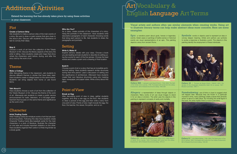Epic: a narrative poem about gods, heroes or legendary events. Greek vases or paintings of battle scenes or historical events are visual representations of an epic. This painting depicts a story from ancient Rome.





# Art Vocabulary & English Language Art Terms

**Allegory:** a representation of ideas through objects or characters. Many works of art use visual images to stand in for an idea or emotion. The artist uses the objects in this painting to represent concepts of vanity and mortality.

Symbols: words or objects used to represent an idea or convey deeper meaning. Artists and authors use symbols to evoke a response or illustrate a point. The objects in this painting identify the employment of these individuals.

### Visual artists and authors often use similar elements when creating works. Using art to illustrate literary terms can help make abstract ideas more concrete. Here are some

**Foreshadowing:** use of hints or clues to suggest what will happen later. Because they are frozen in a particular moment in time, many paintings create a sense that climactic action is about to take place. By including the small figure in the boat, the artist implies there is more to the story.

# examples:

Gallery 28A | Jacques-Louis David (French, 1748-1825) The Oath of the Horatii. Oil on canvas, 1786. Purchased with funds from the Libbey Endowment, Gift of Edward Drummond Libbey, 1950.308

Gallery 23 | Jan Miense Molenaer (Dutch, about 1610–1668) Allegory of Vanity. Oil on canvas, 1633. Purchased with funds from the Libbey Endowment, Gift of Edward Drummond Libbey, 1975.21

![](_page_7_Picture_44.jpeg)

Gallery 31 | John Martin (British, 1789–1854) The Destruction of Tyre. Oil on canvas, 1840. Purchased with funds from the Libbey Endowment, Gift of Edward Drummond Libbey, 1952.88

![](_page_7_Picture_41.jpeg)

Gallery 23 | Thomas de Keyser (Dutch, 1596/97-1667) The Syndics of the Amsterdam Goldsmiths Guild. Oil on canvas, 1627. Museum purchase, 1960.11

### Plot

#### **Create a Cartoon Strip**

Ask students to make a cartoon strip of the main events of a story. Be sure to draw or paint scenes that give clues to the story's plot. Discuss with students the importance of text to convey their ideas.

#### **Map It**

Choose a work of art from the collection of the Toledo Museum of Art. Discuss the literary aspects of the story the artist is telling. Have students create plot maps that show where the characters went before, during, and after the story told by the work of art.

### Theme

#### **Make a Collage**

After discussing theme in the classroom, ask students to discuss different themes in stories that have been read. Have students create a collage based on the same theme. Students can bring objects from home or use found items.

#### **Talk About It**

Have students choose a work of art from the collection of the Toledo Museum of Art. Discuss the theme of the work of art. Afterwards ask students to create a public service announcement for radio, television, or a full-page advertisement that focuses on the same theme and significance as the work of art.

### **Character**

#### **Artist Trading Cards**

Artist Trading Cards are miniature works of art that are traded among artists. Following this idea have students create Character Trading Cards (like baseball cards) for the main characters in a work of literature. Illustrate the character on one side and include important statistics on the other. Have students organize their cards in a three ring binder as a study guide.

#### **Who Are You?**

As a class, create portraits of the characters of a story. Hang the portraits in the classroom. Have students write descriptive paragraphs of each character choosing words that bring each person to life. Ask students to share the paragraphs and portraits.

### Setting

#### **Write it, Make it!**

Explore sensory details with your class. Choose a book you are reading and ask students to describe its setting using five words for each of the five senses. Choose the best words and create a poem and a drawing of that location.

#### **Build It**

Choose a work of art or a story that has an incredible architectural setting. Have students research similar structures during that time period. Lead a discussion of setting and the significance of architecture. Afterward have students create their own fabulous structures using only masking tape, newspaper, and paper tubes. Write a story about this place.

### Point of View

#### **Break an Egg**

After discussing point of view in class, gather students together, and drop a raw egg on the floor. Ask students to draw a picture of the egg and then write a story from one point of view. Points of view might include the egg, the floor, the teacher, the viewer, the janitor, and so on.

![](_page_7_Picture_26.jpeg)

Extend the learning that has already taken place by using these activities

in your classroom:

![](_page_7_Picture_0.jpeg)